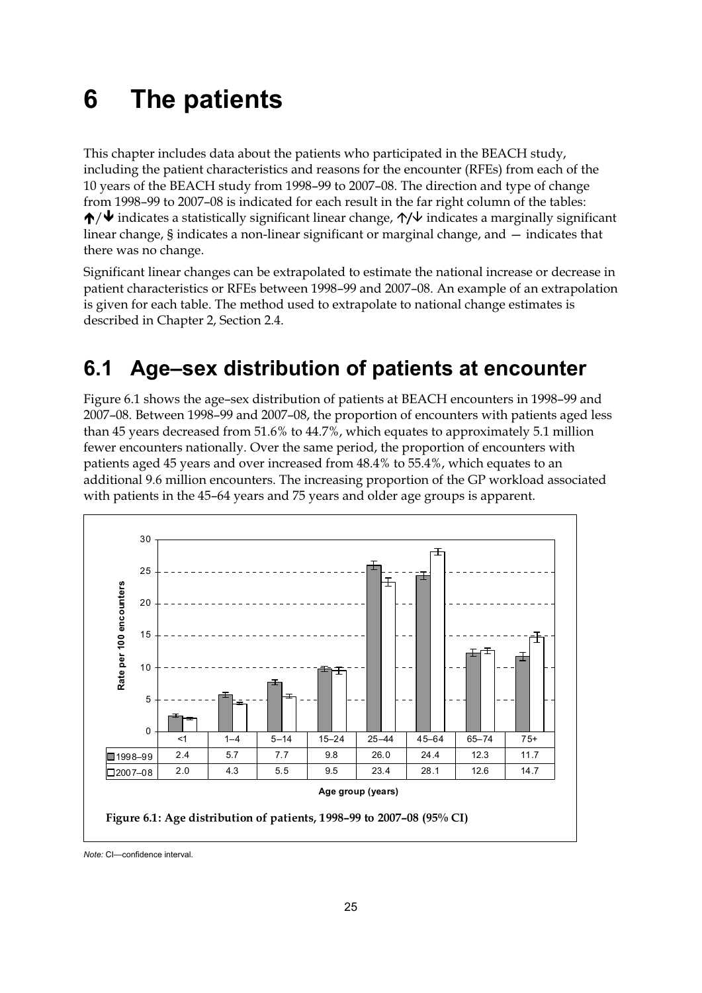# **6 The patients**

This chapter includes data about the patients who participated in the BEACH study, including the patient characteristics and reasons for the encounter (RFEs) from each of the 10 years of the BEACH study from 1998–99 to 2007–08. The direction and type of change from 1998–99 to 2007–08 is indicated for each result in the far right column of the tables: -/ indicates a statistically significant linear change, **/** indicates a marginally significant linear change, § indicates a non-linear significant or marginal change, and — indicates that there was no change.

Significant linear changes can be extrapolated to estimate the national increase or decrease in patient characteristics or RFEs between 1998–99 and 2007–08. An example of an extrapolation is given for each table. The method used to extrapolate to national change estimates is described in Chapter 2, Section 2.4.

## **6.1 Age–sex distribution of patients at encounter**

Figure 6.1 shows the age–sex distribution of patients at BEACH encounters in 1998–99 and 2007–08. Between 1998–99 and 2007–08, the proportion of encounters with patients aged less than 45 years decreased from 51.6% to 44.7%, which equates to approximately 5.1 million fewer encounters nationally. Over the same period, the proportion of encounters with patients aged 45 years and over increased from 48.4% to 55.4%, which equates to an additional 9.6 million encounters. The increasing proportion of the GP workload associated with patients in the 45–64 years and 75 years and older age groups is apparent.



*Note:* CI—confidence interval.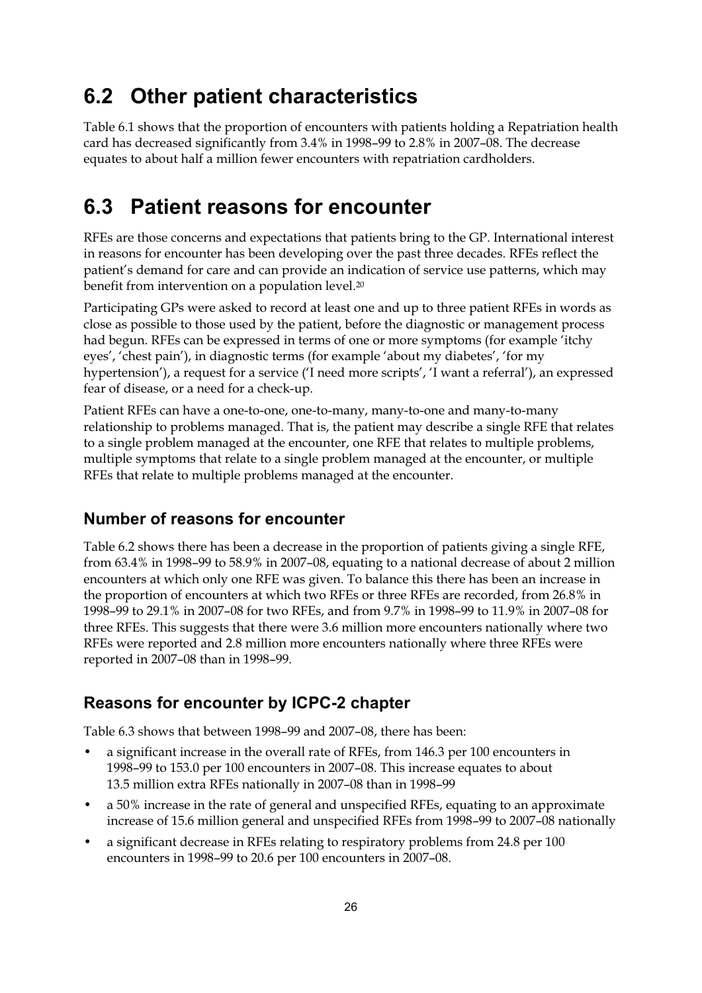### **6.2 Other patient characteristics**

Table 6.1 shows that the proportion of encounters with patients holding a Repatriation health card has decreased significantly from 3.4% in 1998–99 to 2.8% in 2007–08. The decrease equates to about half a million fewer encounters with repatriation cardholders.

## **6.3 Patient reasons for encounter**

RFEs are those concerns and expectations that patients bring to the GP. International interest in reasons for encounter has been developing over the past three decades. RFEs reflect the patient's demand for care and can provide an indication of service use patterns, which may benefit from intervention on a population level.<sup>20</sup>

Participating GPs were asked to record at least one and up to three patient RFEs in words as close as possible to those used by the patient, before the diagnostic or management process had begun. RFEs can be expressed in terms of one or more symptoms (for example 'itchy eyes', 'chest pain'), in diagnostic terms (for example 'about my diabetes', 'for my hypertension'), a request for a service ('I need more scripts', 'I want a referral'), an expressed fear of disease, or a need for a check-up.

Patient RFEs can have a one-to-one, one-to-many, many-to-one and many-to-many relationship to problems managed. That is, the patient may describe a single RFE that relates to a single problem managed at the encounter, one RFE that relates to multiple problems, multiple symptoms that relate to a single problem managed at the encounter, or multiple RFEs that relate to multiple problems managed at the encounter.

#### **Number of reasons for encounter**

Table 6.2 shows there has been a decrease in the proportion of patients giving a single RFE, from 63.4% in 1998–99 to 58.9% in 2007–08, equating to a national decrease of about 2 million encounters at which only one RFE was given. To balance this there has been an increase in the proportion of encounters at which two RFEs or three RFEs are recorded, from 26.8% in 1998–99 to 29.1% in 2007–08 for two RFEs, and from 9.7% in 1998–99 to 11.9% in 2007–08 for three RFEs. This suggests that there were 3.6 million more encounters nationally where two RFEs were reported and 2.8 million more encounters nationally where three RFEs were reported in 2007–08 than in 1998–99.

#### **Reasons for encounter by ICPC-2 chapter**

Table 6.3 shows that between 1998–99 and 2007–08, there has been:

- a significant increase in the overall rate of RFEs, from 146.3 per 100 encounters in 1998–99 to 153.0 per 100 encounters in 2007–08. This increase equates to about 13.5 million extra RFEs nationally in 2007–08 than in 1998–99
- a 50% increase in the rate of general and unspecified RFEs, equating to an approximate increase of 15.6 million general and unspecified RFEs from 1998–99 to 2007–08 nationally
- a significant decrease in RFEs relating to respiratory problems from 24.8 per 100 encounters in 1998–99 to 20.6 per 100 encounters in 2007–08.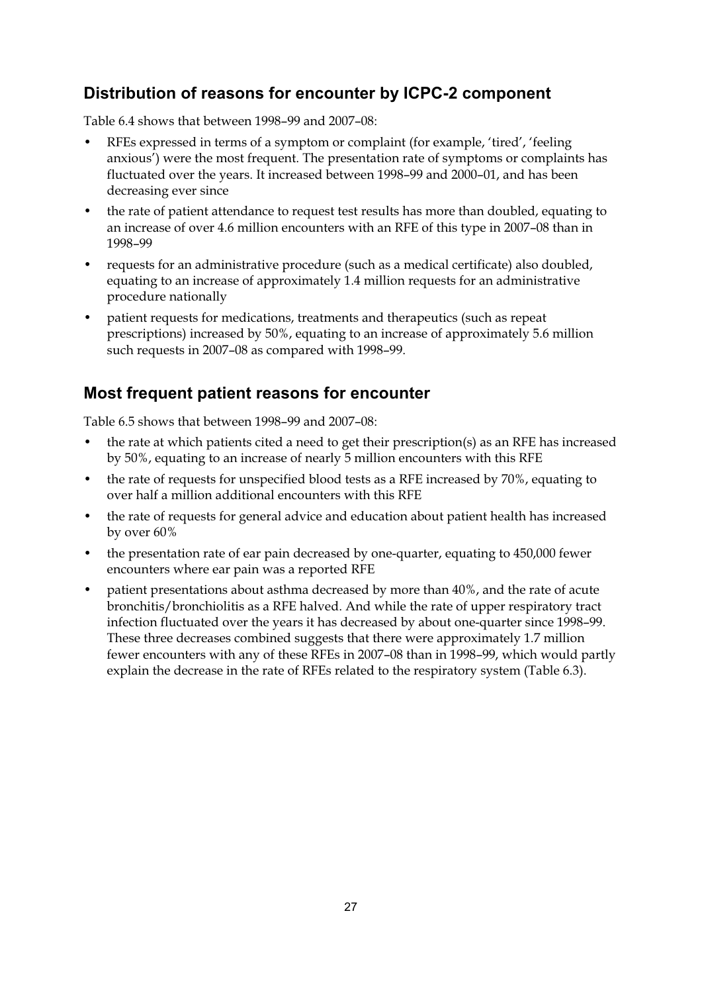#### **Distribution of reasons for encounter by ICPC-2 component**

Table 6.4 shows that between 1998–99 and 2007–08:

- RFEs expressed in terms of a symptom or complaint (for example, 'tired', 'feeling anxious') were the most frequent. The presentation rate of symptoms or complaints has fluctuated over the years. It increased between 1998–99 and 2000–01, and has been decreasing ever since
- the rate of patient attendance to request test results has more than doubled, equating to an increase of over 4.6 million encounters with an RFE of this type in 2007–08 than in 1998–99
- requests for an administrative procedure (such as a medical certificate) also doubled, equating to an increase of approximately 1.4 million requests for an administrative procedure nationally
- patient requests for medications, treatments and therapeutics (such as repeat prescriptions) increased by 50%, equating to an increase of approximately 5.6 million such requests in 2007–08 as compared with 1998–99.

#### **Most frequent patient reasons for encounter**

Table 6.5 shows that between 1998–99 and 2007–08:

- the rate at which patients cited a need to get their prescription(s) as an RFE has increased by 50%, equating to an increase of nearly 5 million encounters with this RFE
- the rate of requests for unspecified blood tests as a RFE increased by 70%, equating to over half a million additional encounters with this RFE
- the rate of requests for general advice and education about patient health has increased by over 60%
- the presentation rate of ear pain decreased by one-quarter, equating to 450,000 fewer encounters where ear pain was a reported RFE
- patient presentations about asthma decreased by more than 40%, and the rate of acute bronchitis/bronchiolitis as a RFE halved. And while the rate of upper respiratory tract infection fluctuated over the years it has decreased by about one-quarter since 1998–99. These three decreases combined suggests that there were approximately 1.7 million fewer encounters with any of these RFEs in 2007–08 than in 1998–99, which would partly explain the decrease in the rate of RFEs related to the respiratory system (Table 6.3).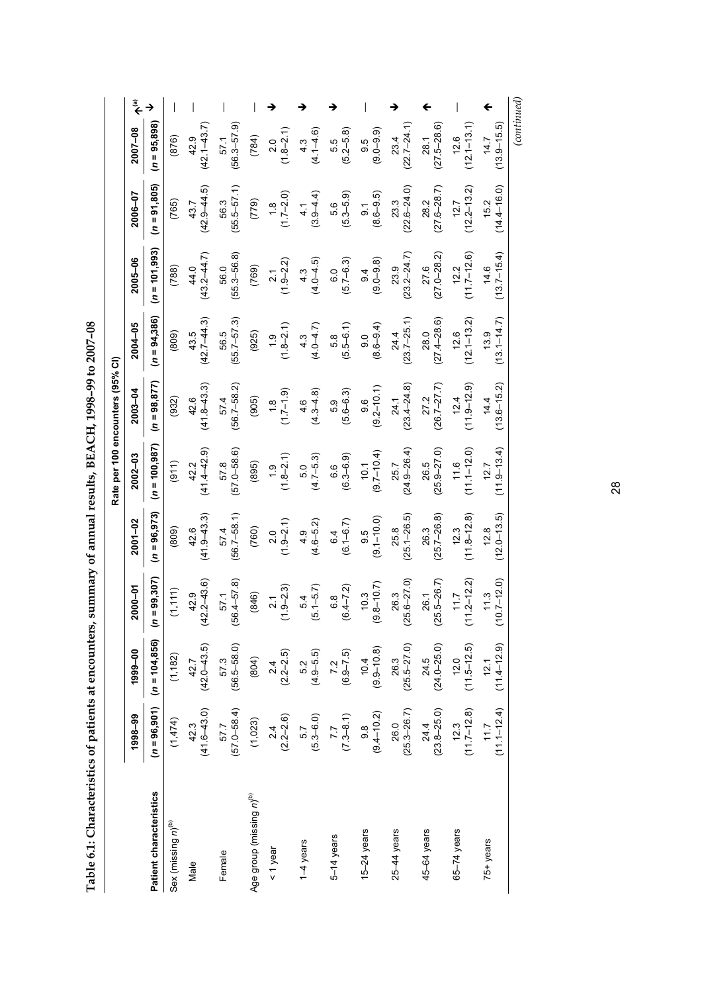| -<br>-<br>-<br>-        |
|-------------------------|
| l<br>J                  |
|                         |
| .<br>م                  |
|                         |
| I                       |
| י<br>-<br>-<br>I<br>ׇ֚֬ |
|                         |
|                         |
| j                       |
|                         |
|                         |
| ı                       |
|                         |
|                         |
|                         |
|                         |
|                         |
|                         |
|                         |
|                         |
|                         |
|                         |
|                         |
|                         |
|                         |
|                         |
|                         |
|                         |
|                         |
|                         |
|                         |
|                         |
|                         |
|                         |
|                         |
| Ī                       |
|                         |
|                         |
|                         |
|                         |
| È<br>I                  |

|             | $(n = 95,898)$            | (876)                          | $(42.1 - 43.7)$<br>42.9   | $(56.3 - 57.9)$<br>57.1 | (784)                                | $(1.8 - 2.1)$<br>2.0           | $(4.1 - 4.6)$<br>$4.\overline{3}$                 | $(5.2 - 5.8)$<br>5.5              | $(9.0 - 9.9)$<br>9.5              | $(22.7 - 24.1)$<br>23.4   | $(27.5 - 28.6)$<br>28.1 | $(12.1 - 13.1)$<br>12.6 | $(13.9 - 15.5)$<br>14.7 | (continued) |
|-------------|---------------------------|--------------------------------|---------------------------|-------------------------|--------------------------------------|--------------------------------|---------------------------------------------------|-----------------------------------|-----------------------------------|---------------------------|-------------------------|-------------------------|-------------------------|-------------|
| 2006-07     | $(n = 91, 805)$           | (765)                          | $(42.9 - 44.5)$<br>43.7   | $(55.5 - 57.1)$<br>56.3 | (779)                                | $(1.7 - 2.0)$<br>$\frac{8}{1}$ | $(3.9 - 4.4)$<br>4.1                              | 5.6<br>(5.3–5.9)                  | $(8.6 - 9.5)$<br>$\overline{9}$ . | $(22.6 - 24.0)$<br>23.3   | $(27.6 - 28.7)$<br>28.2 | $(12.2 - 13.2)$<br>12.7 | $(14.4 - 16.0)$<br>15.2 |             |
| 2005-06     | $(n = 101,993)$           | (788)                          | $(43.2 - 44.7)$<br>44.0   | $(55.3 - 56.8)$<br>56.0 | (769)                                | $(1.9 - 2.2)$<br>2.1           | $4.3$<br>$(4.0 - 4.5)$                            | $(5.7 - 6.3)$<br>$\overline{0}$ . | $(9.0 - 9.8)$<br>9.4              | $(23.2 - 24.7)$<br>23.9   | $(27.0 - 28.2)$<br>27.6 | $(11.7 - 12.6)$<br>12.2 | $(13.7 - 15.4)$<br>14.6 |             |
| 2004-05     | $(n = 94, 386)$           | (809)                          | $(42.7 - 44.3)$<br>43.5   | $(55.7 - 57.3)$<br>56.5 | (925)                                | $(1.8 - 2.1)$<br>$\ddot{6}$ .  | $(4.0 - 4.7)$<br>$4.\overline{3}$                 | $(5.5-6.1)$                       | $(8.6 - 9.4)$                     | $(23.7 - 25.1)$<br>24.4   | $(27.4 - 28.6)$<br>28.0 | $(12.1 - 13.2)$<br>12.6 | $(13.1 - 14.7)$<br>13.9 |             |
| 2003-04     | $(n = 98, 877)$           | (932)                          | $(41.8 - 43.3)$<br>42.6   | $(56.7 - 58.2)$<br>57.4 | (905)                                | $(1.7 - 1.9)$<br>$\frac{8}{1}$ | $46$<br>$(4.3 - 4.8)$                             | $(5.6 - 6.3)$                     | $(9.2 - 10.1)$<br>9.6             | $(23.4 - 24.8)$<br>24.1   | $(26.7 - 27.7)$<br>27.2 | $(11.9 - 12.9)$<br>12.4 | $(13.6 - 15.2)$<br>14.4 |             |
| $2002 - 03$ | $(n = 100, 987)$          | (911)                          | $(41.4 - 42.9)$<br>42.2   | $(57.0 - 58.6)$<br>57.8 | (895)                                | $(1.8 - 2.1)$<br>$\frac{6}{1}$ | $(4.7 - 5.3)$<br>5.0                              | $(6.3 - 6.9)$<br>6.6              | $(9.7 - 10.4)$<br>10.1            | $(24.9 - 26.4)$<br>25.7   | $(25.9 - 27.0)$<br>26.5 | $(11.1 - 12.0)$<br>11.6 | $(11.9 - 13.4)$<br>12.7 |             |
| $2001 - 02$ | $(n = 96, 973)$           | (809)                          | $(41.9 - 43.3)$<br>42.6   | $(56.7 - 58.1)$<br>57.4 | (760)                                | $(1.9 - 2.1)$<br>2.0           | $(4.6 - 5.2)$<br>4.9                              | $(6.1 - 6.7)$<br>6.4              | $(9.1 - 10.0)$<br>9.5             | $(25.1 - 26.5)$<br>25.8   | $(25.7 - 26.8)$<br>26.3 | $(11.8 - 12.8)$<br>12.3 | $(12.0 - 13.5)$<br>12.8 |             |
| 2000-01     | $= 99,307$<br>$\tilde{z}$ | (1, 111)                       | $12.2 - 43.6$<br>42.9     | $(56.4 - 57.8)$<br>57.1 | (846)                                | $(1.9 - 2.3)$<br>2.1           | $(5.1 - 5.7)$<br>54                               | $(6.4 - 7.2)$<br>$6.\overline{8}$ | $9.8 - 10.7$<br>10.3              | $25.6 - 27.0$<br>26.3     | $25.5 - 26.7$<br>26.1   | $1.2 - 12.2$<br>11.7    | $0.7 - 12.0$<br>11.3    |             |
| 1999-00     | $(n = 104, 856)$          | (1, 182)                       | $42.7$<br>$(42.0 - 43.5)$ | 57.3<br>(56.5–58.0)     | (804)                                | $(2.2 - 2.5)$                  | $5.2$<br>(4.9–5.5)                                | $7.2$<br>(6.9–7.5)                | $10.4$<br>$(9.9-10.8)$            | $26.3$<br>$(25.5 - 27.0)$ | $24.5$<br>(24.0-25.0)   | $(11.5 - 12.5)$<br>12.0 | $(11.4 - 12.9)$         |             |
| 1998-99     | $(n = 96, 901)$           | (1,474)                        | $42.3$<br>(41.6–43.0)     | 57.7<br>(57.0–58.4)     | (1,023)                              | $(2.2 - 2.6)$                  | $\begin{array}{c} 5.7 \\ (5.3 - 6.0) \end{array}$ | $(7.3 - 8.1)$                     | $9.8$<br>$(9.4 - 10.2)$           | $(25.3 - 26.7)$<br>26.0   | $244$<br>(238-25.0)     | $12.3$<br>(11.7–12.8)   | $11.7$<br>$(11.1-12.4)$ |             |
|             | Patient characteristics   | Sex (missing n) <sup>(b)</sup> | Male                      | Female                  | Age group (missing n) <sup>(b)</sup> | $1$ year                       | l-4 years                                         | 5-14 years                        | $15 - 24$ years                   | $25-44$ years             | 45-64 years             | $65 - 74$ years         | 75+ years               |             |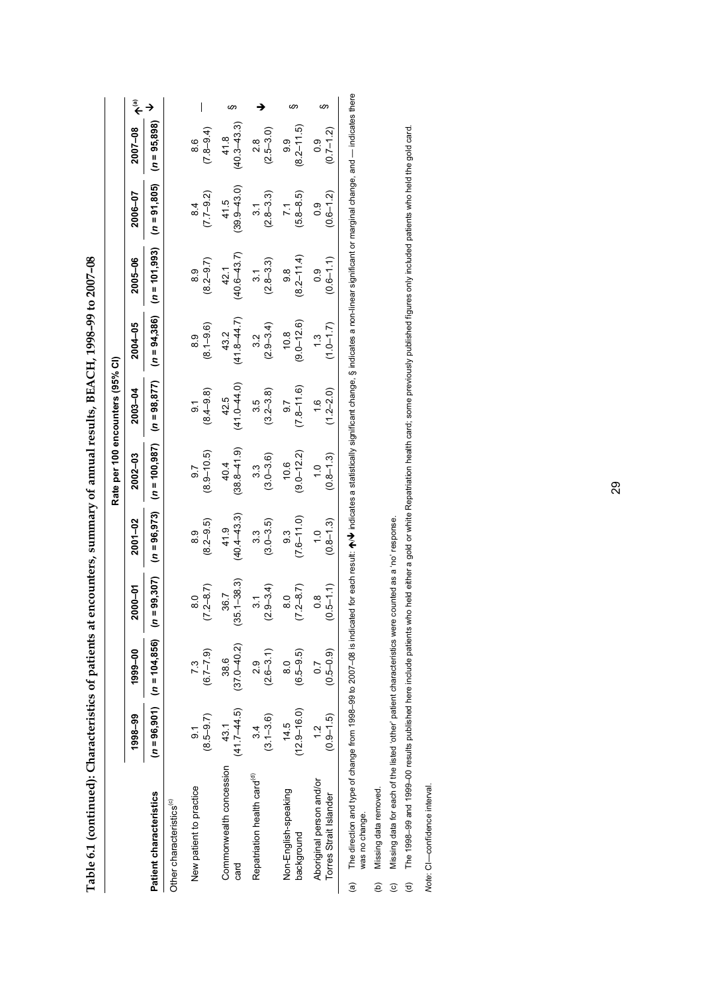|                                  | $\widehat{\bar{\mathbf{z}}}$ |                                |                                      |                                    | က                               |                                         |                                    | ဖာ                                                 |  |
|----------------------------------|------------------------------|--------------------------------|--------------------------------------|------------------------------------|---------------------------------|-----------------------------------------|------------------------------------|----------------------------------------------------|--|
|                                  | 2007-08                      | $(n = 95,898)$                 |                                      | $(7.8 - 9.4)$<br>8.6               | $(40.3 - 43.3)$<br>41.8         | $(2.5 - 3.0)$<br>2.8                    | $(8.2 - 11.5)$<br>9.9              | $(0.7 - 1.2)$<br>0.9                               |  |
|                                  | 2006-07                      | $(n = 91, 805)$                |                                      | $(7.7 - 9.2)$<br>8.4               | $(39.9 - 43.0)$<br>41.5         | $(2.8 - 3.3)$<br>$\frac{1}{3}$          | $(5.8 - 8.5)$<br>$\overline{71}$   | $(0.6 - 1.2)$<br>0.9                               |  |
|                                  | 2005-06                      | $(n = 101,993)$                |                                      | $(8.2 - 9.7)$<br>.<br>හ            | $(40.6 - 43.7)$<br>42.1         | $(2.8 - 3.3)$<br>$\overline{31}$        | $(8.2 - 11.4)$<br>9.8              | $(0.6 - 1.1)$<br>0.9                               |  |
|                                  | 2004-05                      | $(n = 94, 386)$                |                                      | $(8.1 - 9.6)$<br>8.9               | $(41.8 - 44.7)$<br>43.2         | $(2.9 - 3.4)$<br>3.2                    | $(9.0 - 12.6)$<br>10.8             | $(7.0 - 1.7)$<br>$\frac{3}{2}$                     |  |
|                                  | 2003-04                      | $(n = 98, 877)$                |                                      | $(8.4 - 9.8)$<br>$\overline{5}$    | $(41.0 - 44.0)$<br>42.5         | $(3.2 - 3.8)$<br>35                     | $(7.8 - 11.6)$<br>$-8.7$           | $(1.2 - 2.0)$<br>$\frac{0}{1}$                     |  |
| Rate per 100 encounters (95% CI) | $2002 - 03$                  | $(n = 100, 987)$               |                                      | $(8.9 - 10.5)$<br>$\overline{9.7}$ | $(38.8 - 41.9)$<br>40.4         | $(3.0 - 3.6)$<br>$3.\overline{3}$       | $(9.0 - 12.2)$<br>10.6             | $(0.8 - 1.3)$<br>$\frac{1}{1}$                     |  |
|                                  | 2001-02                      | $(n = 96, 973)$                |                                      | $(8.2 - 9.5)$<br>8.9               | $(40.4 - 43.3)$<br>41.9         | $(3.0 - 3.5)$<br>33                     | $(7.6 - 11.0)$<br>93               | $(0.8 - 1.3)$<br>$\frac{0}{1}$                     |  |
|                                  | 2000-01                      | $n = 99,307$                   |                                      | $(7.2 - 8.7)$<br>$\frac{0}{8}$     | $(35.1 - 38.3)$<br>36.7         | $(2.9 - 3.4)$<br>$\overline{3.1}$       | $(7.2 - 8.7)$<br>$\frac{0}{8}$     | $(0.5 - 1.1)$<br>$\frac{8}{1}$                     |  |
|                                  | 1999-00                      | $(n = 96,901)$ $(n = 104,856)$ |                                      | $(6.7 - 7.9)$<br>7.3               | $(37.0 - 40.2)$<br>38.6         | $(2.6 - 3.1)$<br>0.9                    | $(6.5 - 9.5)$<br>$\frac{0}{8}$     | $(0.5 - 0.9)$<br>$\overline{0}$                    |  |
|                                  | 1998-99                      |                                |                                      | $(8.5 - 9.7)$<br><u>န</u>          | $(41.7 - 44.5)$<br>43.1         | $(3.1 - 3.6)$<br>34                     | $(12.9 - 16.0)$<br>14.5            | $(0.9 - 1.5)$<br>ب<br>1                            |  |
|                                  |                              | Patient characteristics        | Other characteristics <sup>(c)</sup> | New patient to practice            | Commonwealth concession<br>card | Repatriation health card <sup>(d)</sup> | Non-English-speaking<br>background | Aboriginal person and/or<br>Torres Strait Islander |  |

Table 6.1 (continued): Characteristics of patients at encounters, summary of annual results, BEACH, 1998-99 to 2007-08 **Table 6.1 (continued): Characteristics of patients at encounters, summary of annual results, BEACH, 1998–99 to 2007–08** 

The direction and type of change from 1998-99 to 2007–08 is indicated for each reault: ★/★ indicates a statistically significant change, § indicates a non-linear significant or marginal change, and — indicates there  $\bm{\psi}$  indicates a statistically significant change, § indicates a non-linear significant or marginal change, and — indicates there (a) The direction and type of change from 1998–99 to 2007–08 is indicated for each result:  $\spadesuit$ was no change. was no change.  $\mathbf{e}$ 

(b) Missing data removed. Missing data removed. Missing data for each of the listed 'other' patient characteristics were counted as a 'no' response. (c) Missing data for each of the listed 'other' patient characteristics were counted as a 'no' response.

The 1998-99 and 1999-00 results published here include patients who held either a gold or white Repatriation health card; some previously published figures only included patients who held the gold card. (d) The 1998–99 and 1999–00 results published here include patients who held either a gold or white Repatriation health card; some previously published figures only included patients who held the gold card.  $\overline{c}$   $\overline{c}$   $\overline{c}$ 

Note: CI-confidence interval. *Note*: CI—confidence interval.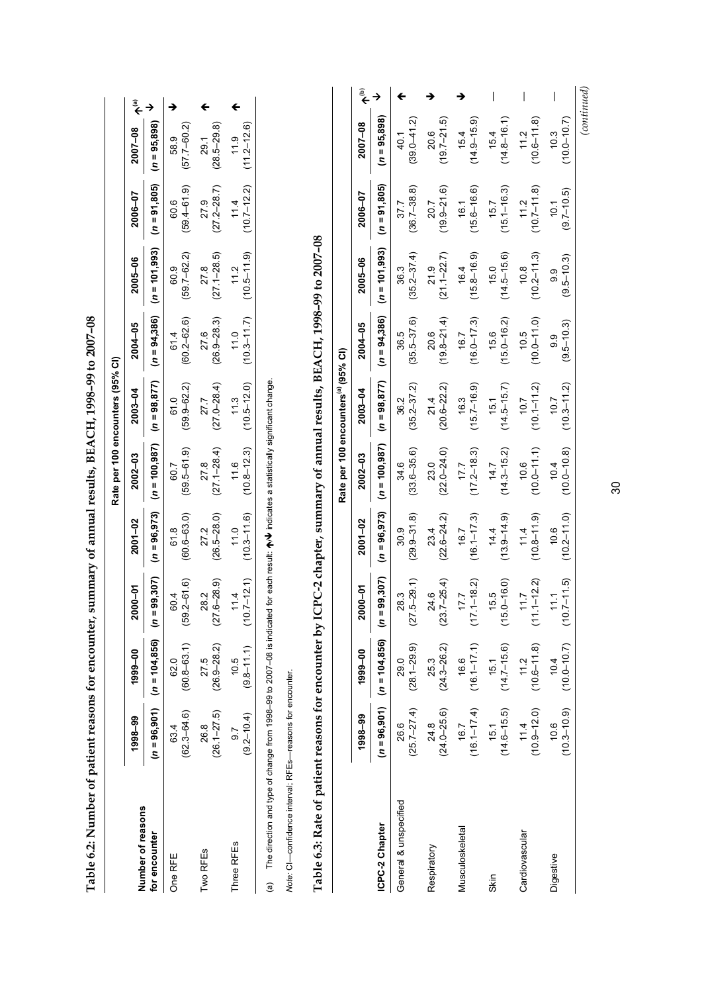|                   |                         |                                     |                         |                                                                                                                                                                                                                                                                                                                                     | Rate per 100 encounters (95% CI) |                         |                         |                                                                                             |                                     |                         |  |
|-------------------|-------------------------|-------------------------------------|-------------------------|-------------------------------------------------------------------------------------------------------------------------------------------------------------------------------------------------------------------------------------------------------------------------------------------------------------------------------------|----------------------------------|-------------------------|-------------------------|---------------------------------------------------------------------------------------------|-------------------------------------|-------------------------|--|
| Number of reasons | 1998-99                 | 1999-00                             | 2000-01                 | 2001-02                                                                                                                                                                                                                                                                                                                             | $2002 - 03$                      | 2003-04                 | 2004-05                 | 2005-06                                                                                     | 2006-07                             | 2007-08 A(a)            |  |
| for encounter     |                         | $(n = 96,901)$ $(n = 104,856)$ $(n$ |                         |                                                                                                                                                                                                                                                                                                                                     |                                  |                         |                         | (16=96,907) (16=96,973) (16=97) (16=94,386) (16=94,386) (16=94,386) (16=95,000−10−95,898)   |                                     |                         |  |
| One RFE           | $(62.3 - 64.6)$<br>63.4 | $(60.8 - 63.1)$<br>62.0             | $(59.2 - 61.6)$<br>60.4 | $(60.6 - 63.0)$<br>61.8                                                                                                                                                                                                                                                                                                             | $(59.5 - 61.9)$<br>60.7          | $(59.9 - 62.2)$<br>61.0 | $(60.2 - 62.6)$<br>61.4 | $(59.7 - 62.2)$<br>60.9                                                                     | $(59.4 - 61.9)$<br>60.6             | $(57.7 - 60.2)$<br>58.9 |  |
| Two RFEs          | $(26.1 - 27.5)$<br>26.8 | $(26.9 - 28.2)$<br>27.5             | $(27.6 - 28.9)$<br>28.2 | $(26.5 - 28.0)$<br>27.2                                                                                                                                                                                                                                                                                                             | $(27.1 - 28.4)$<br>278           | $(27.0 - 28.4)$<br>27.7 | $(26.9 - 28.3)$<br>27.6 | $(27.1 - 28.5)$<br>27.8                                                                     | $(27.2 - 28.7)$<br>27.9             | $(28.5 - 29.8)$<br>29.1 |  |
| Three RFEs        | $(9.2 - 10.4)$<br>5.6   | $(9.8 - 11.1)$<br>10.5              | 11.4                    | 11.0                                                                                                                                                                                                                                                                                                                                | 11.6                             | 11.3                    | 11.0                    | $(10.7-12.1)$ $(10.3-11.6)$ $(10.8-12.3)$ $(10.5-12.0)$ $(10.3-11.7)$ $(10.5-11.9)$<br>11.2 | $(10.7-12.2)$ $(11.2-12.6)$<br>11.4 | 11.9                    |  |
|                   |                         |                                     |                         | $\begin{bmatrix} 1 & 1 & 1 \\ 1 & 1 & 1 \\ 1 & 1 & 1 \\ 1 & 1 & 1 \\ 1 & 1 & 1 \\ 1 & 1 & 1 \\ 1 & 1 & 1 \\ 1 & 1 & 1 \\ 1 & 1 & 1 \\ 1 & 1 & 1 \\ 1 & 1 & 1 \\ 1 & 1 & 1 \\ 1 & 1 & 1 \\ 1 & 1 & 1 \\ 1 & 1 & 1 & 1 \\ 1 & 1 & 1 & 1 \\ 1 & 1 & 1 & 1 \\ 1 & 1 & 1 & 1 \\ 1 & 1 & 1 & 1 \\ 1 & 1 & 1 & 1 \\ 1 & 1 & 1 & 1 \\ 1 & $ |                                  |                         |                         |                                                                                             |                                     |                         |  |

Table 6.2: Number of patient reasons for encounter, summary of annual results, BEACH, 1998-99 to 2007-08 **Table 6.2: Number of patient reasons for encounter, summary of annual results, BEACH, 1998–99 to 2007–08** 

(a) The direction and type of change from 1998–99 to 2007–08 is indicated for each result:  $\bigwedge \bigvee$  indicates a statistically significant change.  $\forall$  indicates a statistically significant change. (a) The direction and type of change from 1998–99 to 2007–08 is indicated for each result:  $\spadesuit$ 

Note: CI-confidence interval; RFEs-reasons for encounter. *Note:* CI—confidence interval; RFEs—reasons for encounter.

Table 6.3: Rate of patient reasons for encounter by ICPC-2 chapter, summary of annual results, BEACH, 1998-99 to 2007-08 **Table 6.3: Rate of patient reasons for encounter by ICPC-2 chapter, summary of annual results, BEACH, 1998–99 to 2007–08** 

|                       |                         |                                                         |                             |                         | Rate per 100 encounters <sup>(a)</sup> (95% CI) |                         |                         |                         |                         |                         |  |
|-----------------------|-------------------------|---------------------------------------------------------|-----------------------------|-------------------------|-------------------------------------------------|-------------------------|-------------------------|-------------------------|-------------------------|-------------------------|--|
|                       | 1998-99                 | 1999-00                                                 | 5<br>მი<br>ສ                | 2001-02                 | $2002 - 03$                                     | 2003-04                 | 2004-05                 | 2005-06                 | 2006-07                 | 2007-08                 |  |
| ICPC-2 Chapter        |                         | $(n = 96,901)$ $(n = 104,856)$ $(n =$                   | 99,307)                     | $(n = 96, 973)$         | $(n = 100, 987)$                                | $(n = 98, 877)$         | $(n = 94,386)$          | $(n = 101, 993)$        | $(n = 91, 805)$         | $(n = 95,898)$          |  |
| General & unspecified | 26.6                    | $(25.7-27.4)$ $(28.1-29.9)$<br>29.0                     | $5 - 29.1$<br>28.3<br>(27)  | $(29.9 - 31.8)$<br>30.9 | $(33.6 - 35.6)$<br>34.6                         | $(35.2 - 37.2)$<br>36.2 | $(35.5 - 37.6)$<br>36.5 | $(35.2 - 37.4)$<br>36.3 | $(36.7 - 38.8)$<br>37.7 | $(39.0 - 41.2)$<br>40.1 |  |
| Respiratory           | $(24.0 - 25.6)$<br>24.8 | $(24.3 - 26.2)$<br>25.3                                 | $(23.7 - 25.4)$<br>24.6     | $(22.6 - 24.2)$<br>23.4 | $(22.0 - 24.0)$<br>23.0                         | $(20.6 - 22.2)$<br>21.4 | $(19.8 - 21.4)$<br>20.6 | $(21.1 - 22.7)$<br>21.9 | $(19.9 - 21.6)$<br>20.7 | $(19.7 - 21.5)$<br>20.6 |  |
| Musculoskeletal       | $(16.1 - 17.4)$<br>16.7 | $(16.1 - 17.1)$<br>16.6                                 | $(17.1 - 18.2)$<br>17.7     | $(16.1 - 17.3)$<br>16.7 | $(17.2 - 18.3)$<br>17.7                         | $(15.7 - 16.9)$<br>16.3 | $(16.0 - 17.3)$<br>16.7 | $(15.8 - 16.9)$<br>16.4 | $(15.6 - 16.6)$<br>16.1 | $(14.9 - 15.9)$<br>15.4 |  |
| Skin                  | $(14.6 - 15.5)$<br>15.1 | $(14.7 - 15.6)$<br>15.1                                 | $.0 - 16.0$<br>15.5<br>(15. | $(13.9 - 14.9)$<br>14.4 | $(14.3 - 15.2)$<br>14.7                         | $(14.5 - 15.7)$<br>15.1 | $(15.0 - 16.2)$<br>15.6 | $(14.5 - 15.6)$<br>15.0 | $(15.1 - 16.3)$<br>15.7 | $(14.8 - 16.1)$<br>15.4 |  |
| Cardiovascular        | $(10.9 - 12.0)$<br>11.4 | $(10.6 - 11.8)$<br>11.2                                 | $1 - 12.2$<br>11.7<br>ミ     | $(10.8 - 11.9)$<br>11.4 | $(10.0 - 11.1)$<br>10.6                         | $(10.1 - 11.2)$<br>10.7 | $(0.1 - 0.011)$<br>10.5 | $(10.2 - 11.3)$<br>10.8 | $10.7 - 11.8$<br>11.2   | $(10.6 - 11.8)$<br>11.2 |  |
| Digestive             | 10.6                    | $(10.3 - 10.9)$ $(10.0 - 10.7)$ $(10.7 - 11.5)$<br>10.4 | $\frac{11}{11}$             | $(10.2 - 11.0)$<br>10.6 | $(10.0 - 10.8)$<br>10.4                         | $(10.3 - 11.2)$<br>10.7 | $(9.5 - 10.3)$<br>တ္ပ   | $(9.5 - 10.3)$<br>9.9   | $(9.7 - 10.5)$<br>10.1  | $(10.0 - 10.7)$<br>10.3 |  |
|                       |                         |                                                         |                             |                         |                                                 |                         |                         |                         |                         | (continued)             |  |

30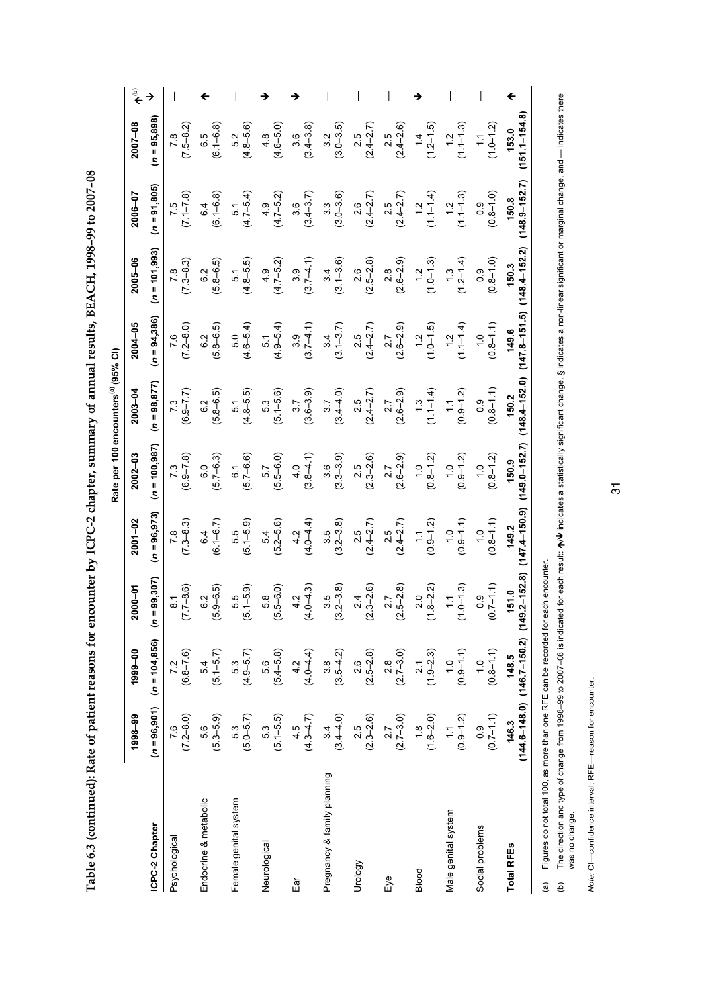Table 6.3 (continued): Rate of patient reasons for encounter by ICPC-2 chapter, summary of annual results, BEACH, 1998-99 to 2007-08 **Table 6.3 (continued): Rate of patient reasons for encounter by ICPC-2 chapter, summary of annual results, BEACH, 1998–99 to 2007–08** 

|                             |                                                                |                      |                                     |                                |                                | Rate per 100 encounters <sup>(a)</sup> (95% CI) |                                   |                                |                            |                                |                              |
|-----------------------------|----------------------------------------------------------------|----------------------|-------------------------------------|--------------------------------|--------------------------------|-------------------------------------------------|-----------------------------------|--------------------------------|----------------------------|--------------------------------|------------------------------|
|                             | 1998-99                                                        | 1999-00              | 2000-01                             | $2001 - 02$                    | $2002 - 03$                    | $2003 - 04$                                     | 2004-05                           | 2005-06                        | 2006-07                    | 2007-08                        | $\widetilde{\hat{\epsilon}}$ |
| ICPC-2 Chapter              | $(n = 96, 901)$                                                | $(n = 104, 856)$     | 99,307)<br>$\equiv$ 0)              | $(n = 96, 973)$                | $(n = 100, 987)$               | $(n = 98, 877)$                                 | $(n = 94,386)$                    | $(n = 101, 993)$               | $(n = 91, 805)$            | $(n = 95,898)$                 |                              |
| Psychological               | $7.6$<br>$(7.2-8.0)$                                           | $7.2$<br>(6.8–7.6)   | $(7.7 - 8.6)$<br>$\overline{\circ}$ | $(7.3 - 8.3)$                  | $7.3$<br>(6.9–7.8)             | $(6.9 - 7.7)$                                   | $(7.2 - 8.0)$<br>7.6              | $(7.3 - 8.3)$<br>$\frac{8}{1}$ | $(7.1 - 7.8)$              | $(7.5 - 8.2)$                  |                              |
| Endocrine & metabolic       | 5.6<br>(5.3–5.9)                                               | $5.4$<br>(5.1–5.7)   | $6.2$<br>$(5.9 - 6.5)$              | $(6.1 - 6.7)$<br>6.4           | $6.0$<br>$(5.7 - 6.3)$         | $(5.8 - 6.5)$<br>6.2                            | $(5.8 - 6.5)$<br>6.2              | $(5.8 - 6.5)$<br>6.2           | $6.4$<br>$(6.1 - 6.8)$     | $(6.1 - 6.8)$<br>6.5           |                              |
| Female genital system       | $5.3$<br>$(5.0-5.7)$                                           | $(4.9 - 5.7)$        | $5.5$<br>$(-5.9)$<br>ق              | $(5.1 - 5.9)$<br>5.5           | $(5.7 - 6.6)$<br>6.1           | $(4.8 - 5.5)$<br>5.1                            | $(4.6 - 5.4)$<br>5.0              | $(4.8 - 5.5)$<br>5.1           | $\frac{5.1}{(4.7-5.4)}$    | $(4.8 - 5.6)$<br>5.2           |                              |
| Neurological                | $\begin{array}{c} 5.3 \\ (5.1 - 5.5) \end{array}$              | $(5.4 - 5.8)$        | $(5.5 - 6.0)$<br>5.8                | $(5.2 - 5.6)$<br>54            | $(5.5 - 6.0)$<br>5.7           | $(5.1 - 5.6)$<br>5.3                            | $(4.9 - 5.4)$<br>$\overline{5}$ 1 | $(4.7 - 5.2)$<br>4.9           | $(4.7 - 5.2)$              | $(4.6 - 5.0)$<br>4.8           |                              |
| le∃                         | $4.5$<br>(4.3–4.7)                                             | $4.2$<br>(4.0–4.4)   | $4.2$<br>$(4.0 - 4.3)$              | $4.2$<br>$(4.0-4.4)$           | $(3.8 - 4.1)$                  | $(3.7$<br>$(3.6-3.9)$                           | $(3.7 - 4.1)$<br>3.9              | $(3.7 - 4.1)$                  | $3.6$<br>(3.4–3.7)         | $(3.4 - 3.8)$<br>3.6           |                              |
| Pregnancy & family planning | $3.4$<br>$(3.4 - 4.0)$                                         | $3.8$<br>$(3.5-4.2)$ | $(3.5)$<br>$(3.2-3.8)$              | $(3.5)$<br>$(3.2-3.8)$         | $(3.3 - 3.9)$                  | $(3.4 - 4.0)$<br>3.7                            | $(3.1 - 3.7)$<br>34               | $(3.1 - 3.6)$<br>3.4           | $(3.0 - 3.6)$              | $3.2$<br>$(3.0-3.5)$           |                              |
| Urology                     | $(2.5$<br>$(2.3-2.6)$                                          | $(2.5-2.8)$          | $(2.3 - 2.6)$                       | $2.5$<br>(2.4–2.7)             | $(2.5$<br>$(2.3-2.6)$          | $(2.4 - 2.7)$                                   | $(2.4 - 2.7)$                     | $(2.5 - 2.8)$<br>2.6           | $2.6$<br>(2.4–2.7)         | $(2.4 - 2.7)$<br>2.5           |                              |
| Еуе                         | $(2.7 - 3.0)$                                                  | $2.8$<br>(2.7–3.0)   | $(2.5 - 2.8)$                       | $2.5$<br>(2.4–2.7)             | $2.7$<br>$(2.6 - 2.9)$         | $2.7$<br>$(2.6 - 2.9)$                          | $2.7$<br>$(2.6 - 2.9)$            | $2.8$<br>$(2.6-2.9)$           | $2.5$<br>(2.4–2.7)         | $2.5$<br>$(2.4 - 2.6)$         |                              |
| Blood                       | $(1.6 - 2.0)$                                                  | $(1.9-2.3)$          | $(1.8-2.2)$                         | $(0.9 - 1.2)$<br>$\frac{1}{2}$ | $(0.8-1.2)$                    | $(1.1-1.4)$                                     | $(1.2$<br>$(1.0-1.5)$             | $(1.0 - 1.3)$<br>$\ddot{5}$    | $(1.1 - 1.4)$              | $1.2 - 1.5$<br>1.4             |                              |
| Male genital system         | $(0.9-1.2)$                                                    | $(0.9 - 1.1)$        | $(1.0 - 1.3)$<br>Ξ                  | $(0.9 - 1.1)$<br>$\frac{0}{1}$ | $(0.9 - 1.2)$<br>$\frac{0}{1}$ | $(0.9 - 1.2)$                                   | $1.1 - 1.4$<br>$\frac{2}{1}$      | $(1.2 - 1.4)$<br>$\ddot{.}3$   | $(1, 1 - 1.3)$<br>1.2      | $1.1 - 1.3$<br>$\frac{2}{1}$   |                              |
| Social problems             | $(0.7-1.1)$                                                    | $(0.8-1.1)$          | $(0.7 - 1.1)$<br>0.9                | $(0.8 - 1.1)$<br>$\frac{0}{1}$ | $(0.8 - 1.2)$<br>$\frac{0}{1}$ | $(0.8 - 1.1)$<br>0.9                            | $(0.8 - 1.1)$<br>$\frac{0}{1}$    | $(0.8 - 1.0)$<br>0.9           | $(0.8 - 1.0)$<br>0.9       | $1.0 - 1.2$<br>$\tilde{\cdot}$ |                              |
| <b>Total RFEs</b>           | $(144.6 - 148.0)$ $(146.7 - 150.2)$ $(149.2 - 152.8)$<br>146.3 | 148.5                | 51.0                                | $(147.4 - 150.9)$<br>149.2     | $(149.0 - 152.7)$<br>150.9     | $(148.4 - 152.0)$<br>150.2                      | $(147.8 - 151.5)$<br>149.6        | $(148.4 - 152.2)$<br>150.3     | $(148.9 - 152.7)$<br>150.8 | $151.1 - 154.8$<br>153.0       |                              |

(a) Figures do not total 100, as more than one RFE can be recorded for each encounter.

Note: CI-confidence interval; RFE-reason for encounter. *Note:* CI—confidence interval; RFE—reason for encounter.

The direction and type of change from 1998–99 to 2007–08 is indicated for each result: ★/♦ indicates a statistically significant change, § indicates a non-linear significant or marginal change, and — indicates there<br>was n  $\bm{\psi}$  indicates a statistically significant change, § indicates a non-linear significant or marginal change, and — indicates there (b) The direction and type of change from 1998–99 to 2007–08 is indicated for each result:  $\spadesuit$ (a) Figures do not total 100, as more than one RFE can be recorded for each encounter.<br>(b) The direction and type of change from 1998–99 to 2007–08 is indicated for each result was no change.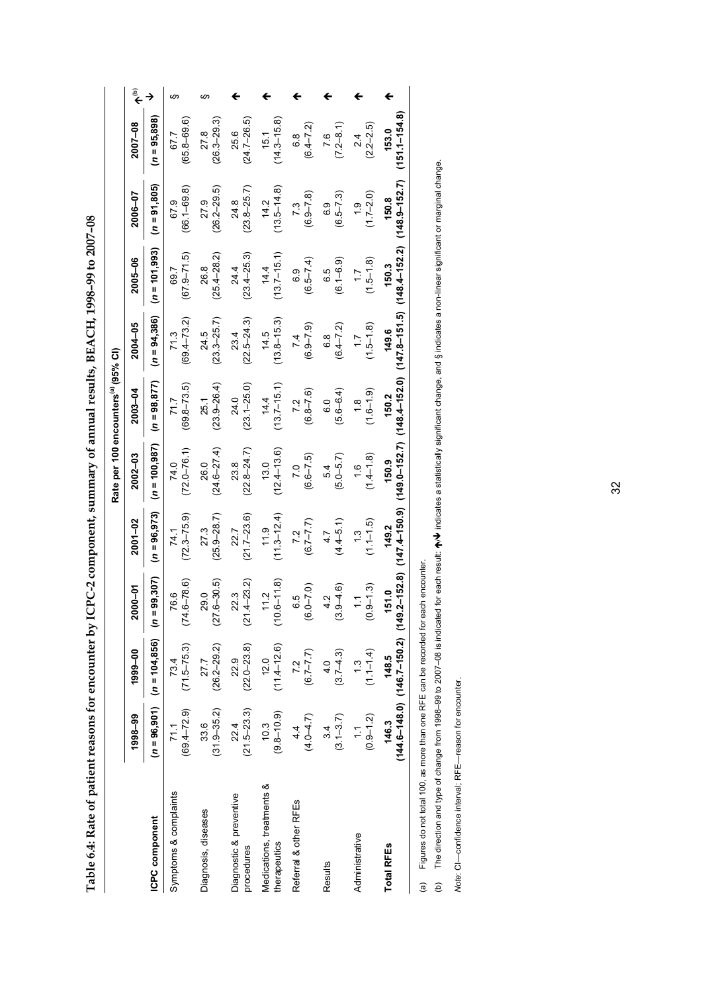Table 6.4: Rate of patient reasons for encounter by ICPC-2 component, summary of annual results, BEACH, 1998-99 to 2007-08 **Table 6.4: Rate of patient reasons for encounter by ICPC-2 component, summary of annual results, BEACH, 1998–99 to 2007–08** 

|                                           |                              |                                                                |                                  |                                |                                    | Rate per 100 encounters <sup>(a)</sup> (95% CI) |                               |                             |                                |                                |                              |
|-------------------------------------------|------------------------------|----------------------------------------------------------------|----------------------------------|--------------------------------|------------------------------------|-------------------------------------------------|-------------------------------|-----------------------------|--------------------------------|--------------------------------|------------------------------|
|                                           | 1998-99                      | 1999-00                                                        | 2000-01                          | $2001 - 02$                    | 2002-03                            | 2003-04                                         | 2004-05                       | 2005-06                     | 2006-07                        | 2007-08                        | $\widetilde{\hat{\epsilon}}$ |
| ICPC component                            |                              | $(n = 96,901)$ $(n = 104,856)$ $(n =$                          | 99,307)                          | $(n = 96, 973)$                | $(n = 100, 987)$                   | $(n = 98, 877)$                                 | $(n = 94, 386)$               | $(n = 101, 993)$            | $(n = 91, 805)$                | $(n = 95,898)$                 |                              |
| Symptoms & complaints                     | $(69.4 - 72.9)$<br>71.1      | $(71.5 - 75.3)$<br>73.4                                        | $(74.6 - 78.6)$<br>76.6          | $(72.3 - 75.9)$<br>74.1        | $(72.0 - 76.1)$<br>74.0            | $(69.8 - 73.5)$<br>71.7                         | $(69.4 - 73.2)$<br>71.3       | $(67.9 - 71.5)$<br>69.7     | $(66.1 - 69.8)$<br>67.9        | $(65.8 - 69.6)$<br>67.7        | ဖာ                           |
| Diagnosis, diseases                       | $(31.9 - 35.2)$<br>33.6      | $(26.2 - 29.2)$<br>27.7                                        | $(27.6 - 30.5)$<br>29.0          | $(25.9 - 28.7)$<br>27.3        | $(24.6 - 27.4)$<br>26.0            | $(23.9 - 26.4)$<br>25.1                         | $(23.3 - 25.7)$<br>24.5       | $(25.4 - 28.2)$<br>26.8     | $(26.2 - 29.5)$<br>27.9        | $(26.3 - 29.3)$<br>27.8        | ဖာ                           |
| Diagnostic & preventive<br>procedures     | $(21.5 - 23.3)$<br>22.4      | $(22.0 - 23.8)$<br>22.9                                        | $(21.4 - 23.2)$<br>22.3          | $(21.7 - 23.6)$<br>22.7        | $(22.8 - 24.7)$<br>23.8            | $(23.1 - 25.0)$<br>24.0                         | $(22.5 - 24.3)$<br>23.4       | $(23.4 - 25.3)$<br>24.4     | $(23.8 - 25.7)$<br>24.8        | $(24.7 - 26.5)$<br>25.6        |                              |
| Medications, treatments &<br>therapeutics | $(9.8 - 10.9)$<br>10.3       | $(11.4 - 12.6)$<br>12.0                                        | $(10.6 - 11.8)$<br>11.2          | $(11.3 - 12.4)$<br>11.9        | $(12.4 - 13.6)$<br>13.0            | $(13.7 - 15.1)$<br>14.4                         | $(13.8 - 15.3)$<br>14.5       | $(13.7 - 15.1)$<br>14.4     | $(13.5 - 14.8)$<br>14.2        | $(14.3 - 15.8)$<br>15.1        |                              |
| Referral & other RFEs                     | $(4.0 - 4.7)$<br>4.4         | $(6.7 - 7.7)$<br>7.2                                           | $(6.0 - 7.0)$<br>6.5             | $(6.7 - 7.7)$<br>7.2           | $(6.6 - 7.5)$<br>$\overline{7}$ .0 | $(6.8 - 7.6)$<br>7.2                            | $(6.5 - 2.9)$<br>7.4          | $(6.5 - 7.4)$<br>6.9        | $(6.9 - 7.8)$<br>7.3           | $(6.4 - 7.2)$<br>$\frac{8}{6}$ |                              |
| Results                                   | $(3.1 - 3.7)$<br>34          | $(3.7 - 4.3)$<br>$\frac{4}{10}$                                | $(3.9 - 4.6)$<br>4.2             | $(4.4 - 5.1)$<br>4.7           | $(5.0 - 5.7)$<br>54                | $(5.6 - 6.4)$<br>C.G                            | $(6.4 - 7.2)$<br>6.8          | $(6.1 - 6.9)$<br>6.5        | $(6.5 - 7.3)$<br>6.9           | $(7.2 - 8.1)$<br>7.6           |                              |
| Administrative                            | $(0.9 - 1.2)$<br>$\tilde{=}$ | $(1.1 - 1.4)$                                                  | $(0.9 - 1.3)$<br>$\tilde{\cdot}$ | $(1.1 - 1.5)$<br>$\frac{3}{1}$ | $(1.4 - 1.8)$<br>$\frac{6}{1}$     | $(1.6 - 1.9)$<br>$\frac{8}{1}$                  | $(1.5 - 1.8)$<br>$\ddot{ }$ : | $(1.5 - 1.8)$<br>$\ddot{ }$ | $(1.7 - 2.0)$<br>$\frac{6}{1}$ | $(2.2 - 2.5)$<br>24            |                              |
| Total RFEs                                | 146.3                        | $(144.6 - 148.0)$ $(146.7 - 150.2)$ $(149.2 - 152.8)$<br>148.5 | 151.0                            | $(147.4 - 150.9)$<br>149.2     | $(149.0 - 152.7)$<br>150.9         | $(148.4 - 152.0)$<br>150.2                      | $(147.8 - 151.5)$<br>149.6    | $(148.4 - 152.2)$<br>150.3  | $(148.9 - 152.7)$<br>150.8     | $(151.1 - 154.8)$<br>153.0     |                              |
|                                           |                              |                                                                |                                  |                                |                                    |                                                 |                               |                             |                                |                                |                              |

(a) Figures do not total 100, as more than one RFE can be recorded for each encounter. (a) Figures do not total 100, as more than one RFE can be recorded for each encounter.

(b) The direction and type of change from 1998–99 to 2007–08 is indicated for each result: A/V indicates a statistically significant change, and § indicates a non-linear significant or marginal change.  $\cal W$  indicates a statistically significant change, and § indicates a non-linear significant or marginal change. (b) The direction and type of change from 1998–99 to 2007–08 is indicated for each result:  $\spadesuit$ 

Note: CI-confidence interval; RFE-reason for encounter. *Note*: CI—confidence interval; RFE—reason for encounter.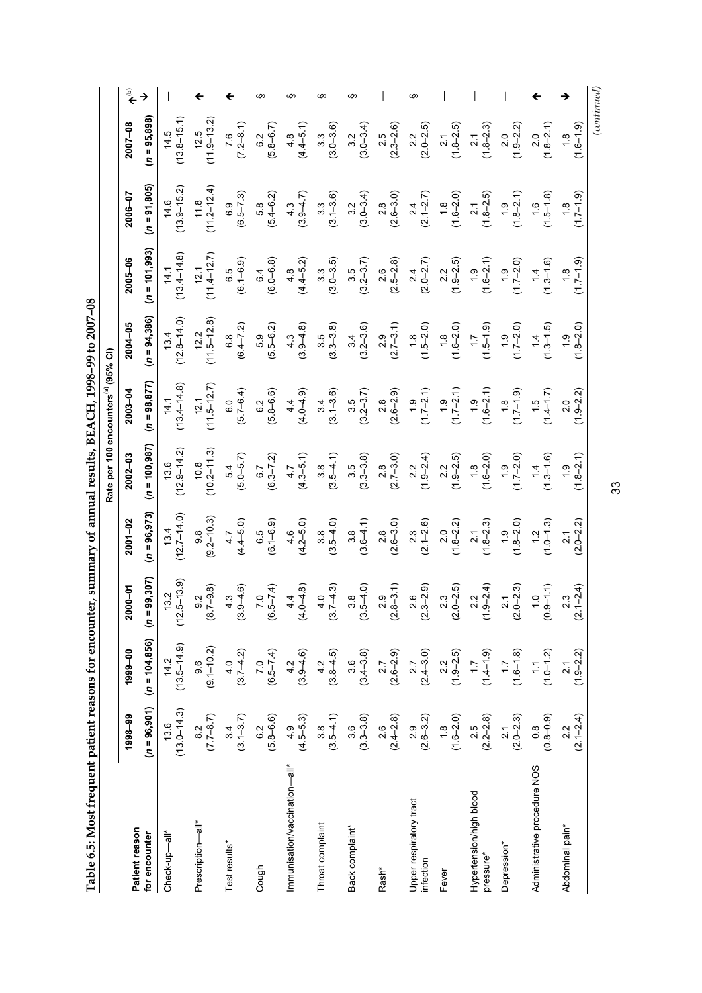Table 6.5: Most frequent patient reasons for encounter, summary of annual results, BEACH, 1998-99 to 2007-08 **Table 6.5: Most frequent patient reasons for encounter, summary of annual results, BEACH, 1998–99 to 2007–08** 

|                                      |                                                   |                         |                                                         |                                                    |                                                   | Rate per 100 encounters <sup>(a)</sup> (95% CI) |                                           |                                                 |                           |                      |      |
|--------------------------------------|---------------------------------------------------|-------------------------|---------------------------------------------------------|----------------------------------------------------|---------------------------------------------------|-------------------------------------------------|-------------------------------------------|-------------------------------------------------|---------------------------|----------------------|------|
| Patient reason                       | 1998-99                                           | 1999-00                 | $2000 - 01$                                             | $2001 - 02$                                        | 2002-03                                           | 2003-04                                         | 2004-05                                   | 2005-06                                         | 2006-07                   | 2007-08              | مَّح |
| for encounter                        | $(n = 96, 901)$                                   | $(n = 104, 856)$        | 99,307)<br>$\overline{a}$                               | $(n = 96, 973)$                                    | $(n = 100,987)$                                   | $(n = 98, 877)$                                 | $(n = 94,386)$                            | $(n = 101, 993)$                                | $(n = 91, 805)$           | $(n = 95,898)$       |      |
| Check-up-all*                        | $13.6$<br>(13.0–14.3)                             | $14.2$<br>(13.5–14.9)   | $(12.5-13.9)$                                           | $(12.7-14.0)$                                      | $(12.9 - 14.2)$                                   | $14.1$<br>(13.4–14.8)                           | $(12.8-14.0)$                             | $14.1$<br>(13.4–14.8)                           | $(13.9 - 15.2)$           | $(13.8 - 15.1)$      |      |
| Prescription—all*                    | $\begin{array}{c} 8.2 \\ (7.7 - 8.7) \end{array}$ | $9.6$<br>$(9.1 - 10.2)$ | $\begin{array}{c} 9.2 \\ (8.7 - 9.8) \end{array}$       | $\begin{array}{c} 9.8 \\ (9.2 - 10.3) \end{array}$ | $10.8$<br>$(10.2 - 11.3)$                         | $(11.5-12.7)$                                   | $(11.5-12.8)$                             | $12.1$<br>$(11.4-12.7)$                         | $(11.8)$<br>$(11.2-12.4)$ | $(11.9 - 13.2)$      |      |
| Test results*                        | $3.4$<br>(3.1-3.7)                                | $40$<br>(3.7–4.2)       | $4.3$<br>(3.9–4.6)                                      | $4.7$<br>$(4.4-5.0)$                               | $5.4$<br>(5.0–5.7)                                | $(5.7 - 6.4)$                                   | $6.8$<br>(6.4-7.2)                        | $6.5$<br>$(6.1 - 6.9)$                          | $6.9$<br>$(6.5 - 7.3)$    | $7.6$<br>$(7.2-8.1)$ |      |
| Cough                                | $6.2$<br>(5.8–6.6)                                | $(6.5-7.4)$             | $7.0$<br>(6.5–7.4)                                      | $6.5$<br>$(6.1 - 6.9)$                             | $6.7$<br>(6.3–7.2)                                | $6.2$<br>$(5.8 - 6.6)$                          | $5.9$<br>$(5.5-6.2)$                      | $6.4$<br>( $6.0-6.8$ )                          | $5.8$<br>( $5.4 - 6.2$ )  | $6.2$<br>(5.8–6.7)   |      |
| Immunisation/vaccination—all*        | $(4.5 - 5.3)$                                     | $42$<br>(3.9–4.6)       | $(4.0 - 4.8)$                                           | $4.6$<br>$(4.2 - 5.0)$                             | $4.7$<br>$(4.3-5.1)$                              | $(4.0 - 4.9)$                                   | $4.3$<br>(3.9–4.8)                        | $4.8$<br>$(4.4-5.2)$                            | $(3.9 - 4.7)$             | $4.8$<br>(4.4–5.1)   |      |
| Throat complaint                     | $\begin{array}{c} 3.8 \\ (3.5 - 4.1) \end{array}$ | $4.2$<br>(3.8–4.5)      | $\begin{pmatrix} 4 & 0 \\ 3 & 7 & -4 & 3 \end{pmatrix}$ | $(3.5-4.0)$                                        | $(3.5 - 4.1)$                                     | $3.4$<br>(3.1–3.6)                              | $(3.3 - 3.8)$                             | $\begin{array}{c} 3.3 \\ (3.0-3.5) \end{array}$ | $3.3$<br>(3.1–3.6)        | $3.3$<br>(3.0–3.6)   |      |
| Back complaint*                      | $(3.3 - 3.8)$                                     | $3.6$<br>(3.4–3.8)      | $(3.5-4.0)$                                             | $3.8$<br>(3.6–4.1)                                 | $3.5$<br>$(3.3 - 3.8)$                            | $3.5$<br>(3.2-3.7)                              | $3.4$<br>(3.2–3.6)                        | $3.5$<br>(3.2-3.7)                              | $3.2$<br>(3.0-3.4)        | $3.2$<br>(3.0–3.4)   |      |
| Rash <sup>*</sup>                    | $\begin{array}{c} 2.6 \\ (2.4-2.8) \end{array}$   | $2.7$<br>(2.6–2.9)      | $(2.8 - 3.1)$                                           | $2.8$<br>$(2.6 - 3.0)$                             | $\begin{array}{c} 2.8 \\ (2.7 - 3.0) \end{array}$ |                                                 | $(2.7-3.1)$<br>(1.8<br>(1.5-2.0)          | $\begin{array}{c} 2.6 \\ (2.5-2.8) \end{array}$ | $2.8$<br>(2.6–3.0)        | $(2.3 - 2.6)$        |      |
| Upper respiratory tract<br>infection | $(2.6-3.2)$                                       | $2.7$<br>(2.4–3.0)      | $(2.3 - 2.9)$                                           | $2.3$<br>(2.1–2.6)                                 | $(1.9 - 2.4)$                                     | $2.8$<br>$(2.6-2.9)$<br>$1.9$<br>$(1.7-2.1)$    |                                           | $2.4$<br>(2.0–2.7)                              | $(2.1 - 2.7)$             | $2.2$<br>$(2.0-2.5)$ |      |
| Fever                                | $(1.6 - 2.0)$                                     | $(1.9 - 2.5)$           | $2.3$<br>(2.0–2.5)                                      | $(1.8-2.2)$                                        |                                                   |                                                 | $(1.6-2.0)$<br>$(1.6-2.0)$<br>$(1.5-1.9)$ | $(1.9 - 2.5)$                                   | $(1.8$<br>$(1.6 - 2.0)$   | $(1.8-2.5)$          |      |
| Hypertension/high blood<br>pressure* | $(2.5$<br>$(2.2-2.8)$                             | $(1.4 - 1.9)$           | $2.2$<br>(1.9–2.4)                                      | $(1.8-2.3)$                                        | $(1.9-2.5)$<br>$(1.9-2.5)$<br>$(1.6-2.0)$         | $(1.3 - 2.1)$<br>$(1.7 - 2.1)$<br>$(1.6 - 2.1)$ |                                           | $(1.6-2.1)$                                     | $(1.8 - 2.5)$             | $(1.8-2.3)$          |      |
| Depression*                          | $(2.0-2.3)$                                       | $(1.6 - 1.8)$           | $2.1$<br>(2.0–2.3)                                      | $(1.8 - 2.0)$                                      | $(1.7-2.0)$                                       | $(1.7 - 1.9)$                                   | $(17-2.0)$                                | $(1.7 - 2.0)$                                   | $(1.8-2.1)$               | $2.0$<br>(1.9–2.2)   |      |
| Administrative procedure NOS         | $(0.8 - 0.9)$                                     | $(1.0-1.2)$             | $(0.9 - 1.1)$                                           | $(1.0 - 1.3)$                                      | $(1.3 - 1.6)$                                     | $(1.4 - 1.7)$                                   | $(1.3-1.5)$                               | $(1.3 - 1.6)$                                   | $(1.5 - 1.8)$             | $(1.8-2.1)$          |      |
| Abdominal pain*                      | $(2.1 - 2.4)$                                     | $(1.9-2.2)$             | $2.3$<br>(2.1–2.4)                                      | $(2.0 - 2.2)$                                      | $(1.8 - 2.1)$                                     | $(1.9 - 2.2)$                                   | $(1.8 - 2.0)$                             | $(1.7-1.9)$                                     | $(1.7-1.9)$               | $(1.6 - 1.9)$        |      |

33

*(continued)*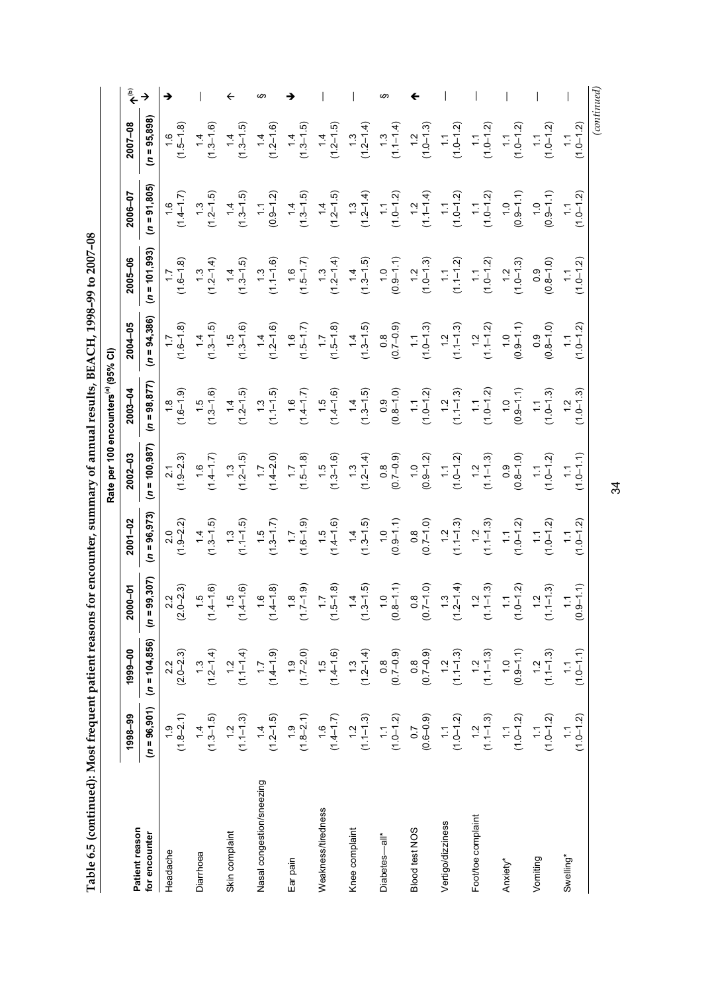Table 6.5 (continued): Most frequent patient reasons for encounter, summary of annual results, BEACH, 1998-99 to 2007-08 **Table 6.5 (continued): Most frequent patient reasons for encounter, summary of annual results, BEACH, 1998–99 to 2007–08** 

|                           |                                              |                                                           |                                            |                             | Rate per 100                        | encounters <sup>(a)</sup> (95% CI) |                                   |                                          |                                     |                                |    |
|---------------------------|----------------------------------------------|-----------------------------------------------------------|--------------------------------------------|-----------------------------|-------------------------------------|------------------------------------|-----------------------------------|------------------------------------------|-------------------------------------|--------------------------------|----|
| Patient reason            | 1998-99                                      | 1999-00                                                   | <b>ი</b> —იე<br>នី                         | $2001 - 02$                 | 2002-03                             | $2003 - 04$                        | 2004-05                           | 2005-06                                  | $2006 - 07$                         | 2007-08                        |    |
| for encounter             | $(n = 96, 901)$                              | $(n = 104, 856)$                                          | 99,307<br>$\overline{a}$                   | $(n = 96, 973)$             | $(n = 100, 987)$                    | $(n = 98, 877)$                    | $(n = 94, 386)$                   | $(n = 101, 993)$                         | $(n = 91, 805)$                     | $(n = 95,898)$                 |    |
| Headache                  | $(1.8 - 2.1)$                                | $(2.0 - 2.3)$                                             | $2.2$<br>$0 - 2.3$<br>$\bar{q}$            | $(1.9 - 2.2)$               | $(1.9-2.3)$                         | $(1.6 - 1.9)$<br>$\frac{8}{1}$     | $(1.6 - 1.8)$<br>$\overline{1.7}$ | $(1.6 - 1.8)$                            | $(1.4 - 1.7)$                       | $(1.5-1.8)$                    |    |
| Diarrhoea                 | $(1.3 - 1.5)$                                | $(1.3$<br>$(1.2-1.4)$                                     | $(1.4 - 1.6)$<br>$\ddot{5}$                | $(1.3-1.5)$                 | $(1.4 - 1.7)$                       | $(1.3 - 1.6)$                      | $(1.3-1.5)$                       | $(1.3$<br>$(1.2-1.4)$                    | $(1.2 - 1.5)$<br>$\ddot{5}$         | $(1.3-1.6)$                    |    |
| Skin complaint            | $(1.1 - 1.3)$                                |                                                           | $(1.5$<br>$(1.4-1.6)$                      | (1, 1, 1, 5)                | $(1.3$<br>$(1.2-1.5)$               | $(1.4$<br>$(1.2-1.5)$              | $(1.5 - 1.6)$                     | $(1.3 - 1.5)$                            | $(1.3 - 1.5)$                       | $(1.3 - 1.5)$                  |    |
| Nasal congestion/sneezing | $(1.2 - 1.5)$                                | $(1, 1-1, 4)$<br>$(1, 1-1, 4)$<br>$(1, 4-1, 9)$           | $(1.6$<br>$(1.4-1.8)$                      | $(1.3 - 1.7)$               | $(1.7$<br>(1.4–2.0)                 | $(1.1 - 1.5)$                      | $(1.2 - 1.6)$                     | $(1.1 - 1.6)$                            | $(0.9 - 1.2)$<br>$\frac{1}{2}$      | $(1.2 - 1.6)$                  | w. |
| Ear pain                  | $(1.8-2.1)$                                  | $(1,7-2.0)$<br>$(1,7-2.0)$<br>$(1,4-1.6)$<br>$(1,3,-1.4)$ | $(1.7-1.9)$                                | $(1.6 - 1.9)$               | $(1.5 - 1.8)$                       | $(1.4 - 1.7)$                      | $(1.5 - 1.7)$                     | $(1.5-1.7)$                              | $(1.3-1.5)$                         | $(1.3 - 1.5)$                  |    |
| Weakness/tiredness        |                                              |                                                           | $(1.5 - 1.8)$                              | $(1.5$<br>$(1.4 - 1.6)$     | $(1.5$<br>$(1.3-1.6)$               | $(1.4 - 1.6)$                      | $(1.5-1.8)$                       | $(1.2-1.4)$                              | $(1.2 - 1.5)$                       | $(1.4$<br>$(1.2-1.5)$          |    |
| Knee complaint            | $(1, 4-1.7)$<br>$(1, 4-1.7)$<br>$(1, 1-1.3)$ |                                                           | $(1.3 - 1.5)$                              | $(1.3-1.5)$                 | $(1.3$<br>$(1.2-1.4)$               | $(1.3 - 1.5)$                      | $(1.3 - 1.5)$                     | $(1.3-1.5)$                              | $(1.3$<br>$(1.2-1.4)$               | $(1.3$<br>$(1.2-1.4)$          |    |
| Diabetes-all*             | $(1.0 - 1.2)$                                | $(0.8$<br>(0.7-0.9)                                       | $(0.8 - 1.1)$                              | $(0.9 - 1.1)$               | $(6.0 - 2.0)$                       | $(0.8 - 1.0)$                      | $(6.0 - 7.0)$                     | $(0.9 - 1.1)$                            | $(1.0 - 1.2)$                       | $(1.1-1.4)$                    |    |
| <b>Blood test NOS</b>     | $(0.6 - 0.9)$                                | $(0.7 - 0.9)$                                             | $(0.7-1.0)$                                | $(0.7-1.0)$                 | $(0.9 - 1.2)$                       | $(1.0 - 1.2)$                      | $(1.0 - 1.3)$                     | $(1.0 - 1.3)$                            | $(1.1 - 1.4)$                       | $(1.2$<br>$(1.0-1.3)$          |    |
| Vertigo/dizziness         | $(1.0-1.2)$                                  | $(1.1 - 1.3)$                                             | $(1.3$<br>$(1.2-1.4)$                      | $(1.1 - 1.3)$<br>$\ddot{ }$ | $(1.0 - 1.2)$<br>$\widetilde{\div}$ | $(1.1 - 1.3)$                      | $(1.1 - 1.3)$<br>$\ddot{ }$       | $(1.1 - 1.2)$<br>$\overline{\mathbb{C}}$ | $(1.0 - 1.2)$<br>$\overline{\cdot}$ | $(1.0 - 1.2)$                  |    |
| Foot/toe complaint        | $(1.1 - 1.3)$                                | $(1.1 - 1.3)$                                             | $(1.1 - 1.3)$                              | $(1.1 - 1.3)$               | $(1.1 - 1.3)$                       | $(1.0 - 1.2)$                      | $(1.1 - 1.2)$                     | $(1.0 - 1.2)$                            | $(1.0 - 1.2)$                       | $1.0 - 1.2$                    |    |
| Anxiety*                  | $(1.0 - 1.2)$                                | $(0.9 - 1.1)$                                             | $(1.1$<br>$(1.0-1.2)$                      | $(1.0 - 1.2)$               | $(0.8 - 1.0)$                       | $(0.9 - 1.1)$                      | $(0.9 - 1.1)$                     | $(1.2$<br>$(1.0-1.3)$                    | $(0.9 - 1.1)$<br>$\frac{0}{1}$      | $(1.0 - 1.2)$<br>$\frac{1}{2}$ |    |
| Vomiting                  | $(1.0-1.2)$                                  | $1.2$<br>(1.1–1.3)                                        | $(1.1 - 1.3)$                              | $1.0 - 1.2$                 | $1.0 - 1.2$                         | $(1.0 - 1.3)$                      | $(0.8 - 1.0)$                     | $(0.8 - 1.0)$                            | $(0.9 - 1.1)$                       | $(1.0 - 1.2)$                  |    |
| Swelling <sup>*</sup>     | $(1.0 - 1.2)$                                | $(1.0 - 1.1)$                                             | $9 - 1.1$<br>$\tilde{c}$<br>$\ddot{\circ}$ | $(1.0 - 1.2)$               | $1.0 - 1.1$                         | $(1.0 - 1.3)$                      | $1.0 - 1.2$                       | $(1.1$<br>(1.0–1.2)                      | $(1.0 - 1.2)$                       | $(1.0 - 1.2)$                  |    |
|                           |                                              |                                                           |                                            |                             |                                     |                                    |                                   |                                          |                                     | $_{(continued)}$               |    |

34